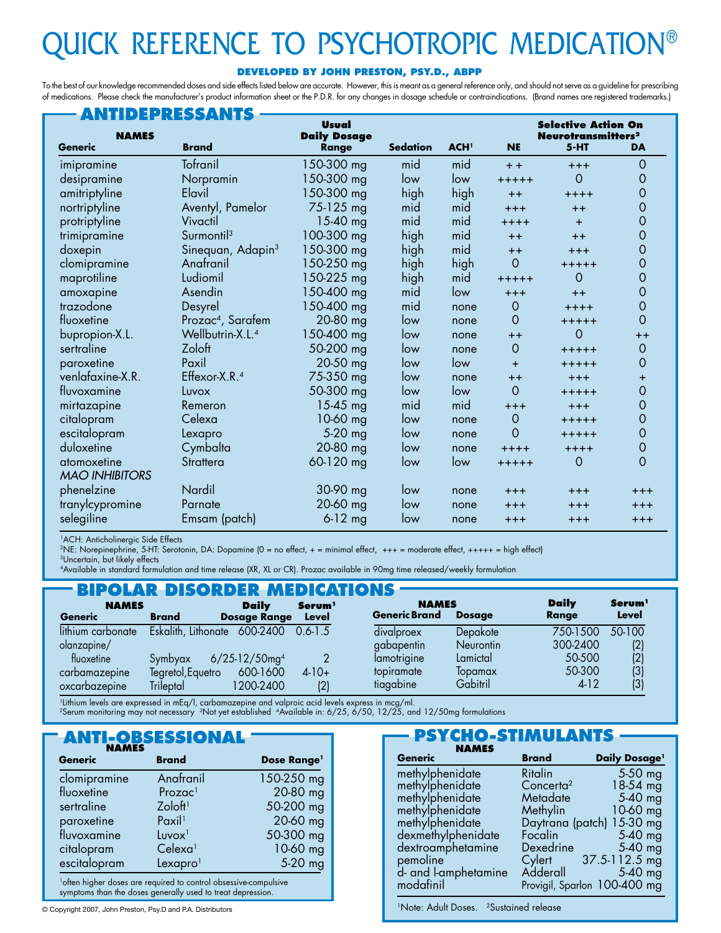# QUICK REFERENCE TO PSYCHOTROPIC MEDICATION®

#### **Developed by John Preston, Psy.D., ABPP**

To the best of our knowledge recommended doses and side effects listed below are accurate. However, this is meant as a general reference only, and should not serve as a guideline for prescribing of medications. Please check the manufacturer's product information sheet or the P.D.R. for any changes in dosage schedule or contraindications. (Brand names are registered trademarks.)

| Е                     | RESSANTS                      | <b>Usual</b>        |                 |                         |           | <b>Selective Action On</b>     |            |
|-----------------------|-------------------------------|---------------------|-----------------|-------------------------|-----------|--------------------------------|------------|
| <b>NAMES</b>          |                               | <b>Daily Dosage</b> |                 |                         |           | Neurotransmitters <sup>2</sup> |            |
| Generic               | <b>Brand</b>                  | <b>Range</b>        | <b>Sedation</b> | <b>ACH</b> <sup>1</sup> | <b>NE</b> | $5-HT$                         | <b>DA</b>  |
| imipramine            | <b>Tofranil</b>               | 150-300 mg          | mid             | mid                     | $+ +$     | $+++$                          | 0          |
| desipramine           | Norpramin                     | 150-300 mg          | low             | low                     | $+++++$   | $\Omega$                       | $\Omega$   |
| amitriptyline         | Elavil                        | 150-300 mg          | high            | high                    | $++$      | $++++$                         | $\Omega$   |
| nortriptyline         | Aventyl, Pamelor              | 75-125 mg           | mid             | mid                     | $+++$     | $++$                           | O          |
| protriptyline         | Vivactil                      | 15-40 mg            | mid             | mid                     | $+++++$   | $+$                            | O          |
| trimipramine          | Surmontil <sup>3</sup>        | 100-300 mg          | high            | mid                     | $++$      | $++$                           | Ω          |
| doxepin               | Sinequan, Adapin <sup>3</sup> | 150-300 mg          | high            | mid                     | $++$      | $+++$                          | $\Omega$   |
| clomipramine          | Anafranil                     | 150-250 mg          | high            | high                    | $\Omega$  | $+++++$                        | 0          |
| maprotiline           | Ludiomil                      | 150-225 mg          | high            | mid                     | $+++++$   | $\Omega$                       | Ω          |
| amoxapine             | Asendin                       | 150-400 mg          | mid             | low                     | $+++$     | $++$                           | Ω          |
| trazodone             | Desyrel                       | 150-400 mg          | mid             | none                    | $\circ$   | $+++++$                        | O          |
| fluoxetine            | Prozac <sup>4</sup> , Sarafem | 20-80 mg            | low             | none                    | $\Omega$  | $+++++$                        | $\Omega$   |
| bupropion-X.L.        | Wellbutrin-X.L. <sup>4</sup>  | 150-400 mg          | low             | none                    | $++$      | $\overline{0}$                 | $++$       |
| sertraline            | Zoloft                        | 50-200 mg           | low             | none                    | $\Omega$  | $+++++$                        | 0          |
| paroxetine            | Paxil                         | 20-50 mg            | low             | low                     | $+$       | $+++++$                        | O          |
| venlafaxine-X.R.      | Effexor- $X.R.^4$             | 75-350 mg           | low             | none                    | $++$      | $+++$                          | $\ddot{}$  |
| fluvoxamine           | Luvox                         | 50-300 mg           | low             | low                     | $\Omega$  | $+++++$                        | 0          |
| mirtazapine           | Remeron                       | 15-45 $mg$          | mid             | mid                     | $+++$     | $+++$                          | O          |
| citalopram            | Celexa                        | 10-60 mg            | low             | none                    | $\circ$   | $+++++$                        | O          |
| escitalopram          | Lexapro                       | 5-20 mg             | low             | none                    | 0         | $+++++$                        | 0          |
| duloxetine            | Cymbalta                      | 20-80 mg            | low             | none                    | $++++$    | $++++$                         | 0          |
| atomoxetine           | Strattera                     | 60-120 mg           | low             | low                     | $+++++$   | $\mathbf 0$                    | $\Omega$   |
| <b>MAO INHIBITORS</b> |                               |                     |                 |                         |           |                                |            |
| phenelzine            | Nardil                        | 30-90 mg            | low             | none                    | $+++$     | $+ + +$                        | $^{+ + +}$ |
| tranylcypromine       | Parnate                       | 20-60 mg            | low             | none                    | $+++$     | $+++$                          | $++++$     |
| selegiline            | Emsam (patch)                 | $6 - 12$ mg         | low             | none                    | $+++$     | $+++$                          | $+++$      |

<sup>1</sup>ACH: Anticholinergic Side Effects

2NE: Norepinephrine, 5-HT: Serotonin, DA: Dopamine (0 = no effect, + = minimal effect, +++ = moderate effect, +++++ = high effect) 3Uncertain, but likely effects

4Available in standard formulation and time release (XR, XL or CR). Prozac available in 90mg time released/weekly formulation

|                   |                     | <b>BIPOLAR DISORDER MEDICATIONS</b> |                    |                      |                  |              |                           |
|-------------------|---------------------|-------------------------------------|--------------------|----------------------|------------------|--------------|---------------------------|
| <b>NAMES</b>      |                     | <b>Daily</b>                        | Serum <sup>1</sup> | <b>NAMES</b>         |                  | <b>Daily</b> | Serum <sup>1</sup>        |
| Generic           | <b>Brand</b>        | <b>Dosage Range</b>                 | Level              | <b>Generic Brand</b> | <b>Dosage</b>    | Range        | <b>Level</b>              |
| lithium carbonate | Eskalith, Lithonate | 600-2400                            | $0.6 - 1.5$        | divalproex           | Depakote         | 750-1500     | 50-100                    |
| olanzapine/       |                     |                                     |                    | gabapentin           | <b>Neurontin</b> | 300-2400     | $\left\vert 2\right\vert$ |
| fluoxetine        | Symbyax             | $6/25 - 12/50$ mg <sup>4</sup>      |                    | lamotrigine          | Lamictal         | 50-500       |                           |
| carbamazepine     | Tegretol, Equetro   | 600-1600                            | $4-10+$            | topiramate           | Topamax          | 50-300       | (3)                       |
| oxcarbazepine     | Trileptal           | 1200-2400                           | (2)                | tiagabine            | Gabitril         | $4-12$       | (3)                       |

1Lithium levels are expressed in mEq/l, carbamazepine and valproic acid levels express in mcg/ml.

2Serum monitoring may not necessary 3Not yet established 4Available in: 6/25, 6/50, 12/25, and 12/50mg formulations

## $\Gamma$  **ANTI-OBSESSIONAL**

| Generic      | <b>Brand</b>         | Dose Range <sup>1</sup> |
|--------------|----------------------|-------------------------|
| clomipramine | Anafranil            | 150-250 mg              |
| fluoxetine   | Prozac <sup>1</sup>  | 20-80 mg                |
| sertraline   | Zoloft <sup>1</sup>  | 50-200 mg               |
| paroxetine   | Paxil <sup>1</sup>   | 20-60 mg                |
| fluvoxamine  | Luvox <sup>1</sup>   | 50-300 mg               |
| citalopram   | Celexa <sup>1</sup>  | 10-60 mg                |
| escitalopram | Lexapro <sup>1</sup> | 5-20 mg                 |

<sup>1</sup>often higher doses are required to control obsessive-compulsive symptoms than the doses generally used to treat depression.

© Copyright 2007, John Preston, Psy.D and P.A. Distributors

# **psycho-stimulants NAMES**

| Generic              | <b>Brand</b>                                                                                                                     | Daily Dosage <sup>1</sup>    |
|----------------------|----------------------------------------------------------------------------------------------------------------------------------|------------------------------|
| methylphenidate      | <b>Ritalin</b>                                                                                                                   | $5-50$ mg                    |
| methylphenidate      | Concerta <sup>2</sup>                                                                                                            | 18-54 mg                     |
| methylphenidate      | Metadate                                                                                                                         | 5-40 mg                      |
| methylphenidate      | Methylin                                                                                                                         | 10-60 mg                     |
| methylphenidate      | Daytrana (patch)                                                                                                                 | 15-30 mg                     |
| dexmethylphenidate   | Focalin<br><b>Contract Contract Contract Contract Contract Contract Contract Contract Contract Contract Contract Contract Co</b> | 5-40 mg                      |
| dextroamphetamine    | Dexedrine                                                                                                                        | 5-40 mg                      |
| pemoline             | Cylert                                                                                                                           | 37.5-112.5 mg                |
| d- and l-amphetamine |                                                                                                                                  | Adderall 5-40 mg             |
| modafinil            |                                                                                                                                  | Provigil, Sparlon 100-400 mg |

<sup>1</sup>Note: Adult Doses. <sup>2</sup>Sustained release